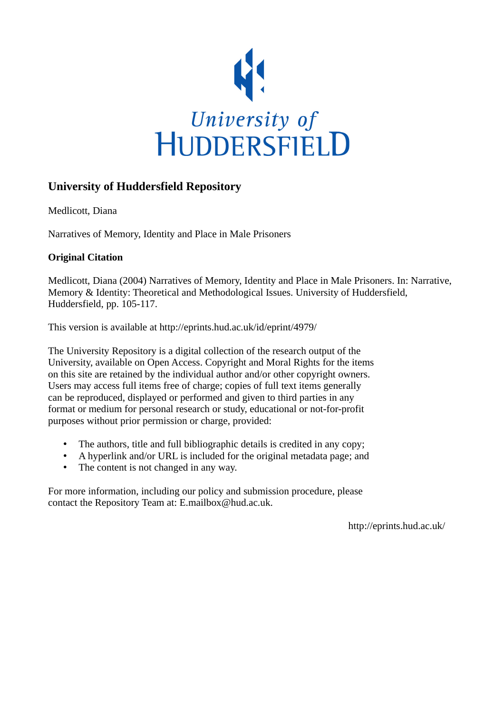

# **University of Huddersfield Repository**

Medlicott, Diana

Narratives of Memory, Identity and Place in Male Prisoners

## **Original Citation**

Medlicott, Diana (2004) Narratives of Memory, Identity and Place in Male Prisoners. In: Narrative, Memory & Identity: Theoretical and Methodological Issues. University of Huddersfield, Huddersfield, pp. 105-117.

This version is available at http://eprints.hud.ac.uk/id/eprint/4979/

The University Repository is a digital collection of the research output of the University, available on Open Access. Copyright and Moral Rights for the items on this site are retained by the individual author and/or other copyright owners. Users may access full items free of charge; copies of full text items generally can be reproduced, displayed or performed and given to third parties in any format or medium for personal research or study, educational or not-for-profit purposes without prior permission or charge, provided:

- The authors, title and full bibliographic details is credited in any copy;
- A hyperlink and/or URL is included for the original metadata page; and
- The content is not changed in any way.

For more information, including our policy and submission procedure, please contact the Repository Team at: E.mailbox@hud.ac.uk.

http://eprints.hud.ac.uk/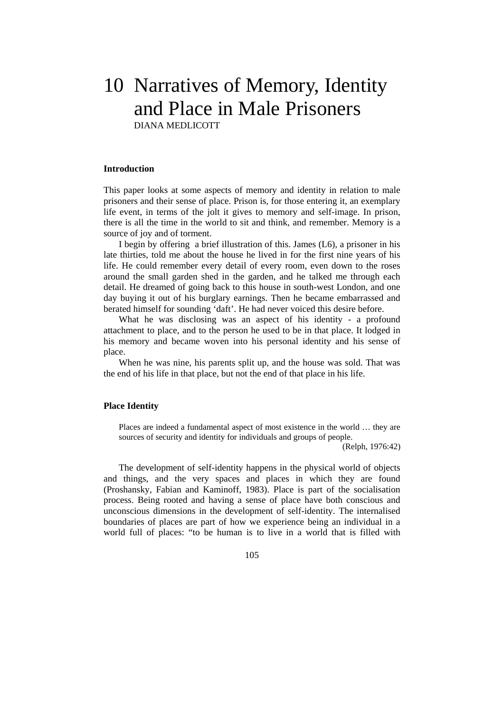# 10 Narratives of Memory, Identity and Place in Male Prisoners DIANA MEDLICOTT

#### **Introduction**

This paper looks at some aspects of memory and identity in relation to male prisoners and their sense of place. Prison is, for those entering it, an exemplary life event, in terms of the jolt it gives to memory and self-image. In prison, there is all the time in the world to sit and think, and remember. Memory is a source of joy and of torment.

 I begin by offering a brief illustration of this. James (L6), a prisoner in his late thirties, told me about the house he lived in for the first nine years of his life. He could remember every detail of every room, even down to the roses around the small garden shed in the garden, and he talked me through each detail. He dreamed of going back to this house in south-west London, and one day buying it out of his burglary earnings. Then he became embarrassed and berated himself for sounding 'daft'. He had never voiced this desire before.

 What he was disclosing was an aspect of his identity - a profound attachment to place, and to the person he used to be in that place. It lodged in his memory and became woven into his personal identity and his sense of place.

 When he was nine, his parents split up, and the house was sold. That was the end of his life in that place, but not the end of that place in his life.

#### **Place Identity**

Places are indeed a fundamental aspect of most existence in the world … they are sources of security and identity for individuals and groups of people.

(Relph, 1976:42)

 The development of self-identity happens in the physical world of objects and things, and the very spaces and places in which they are found (Proshansky, Fabian and Kaminoff, 1983). Place is part of the socialisation process. Being rooted and having a sense of place have both conscious and unconscious dimensions in the development of self-identity. The internalised boundaries of places are part of how we experience being an individual in a world full of places: "to be human is to live in a world that is filled with

105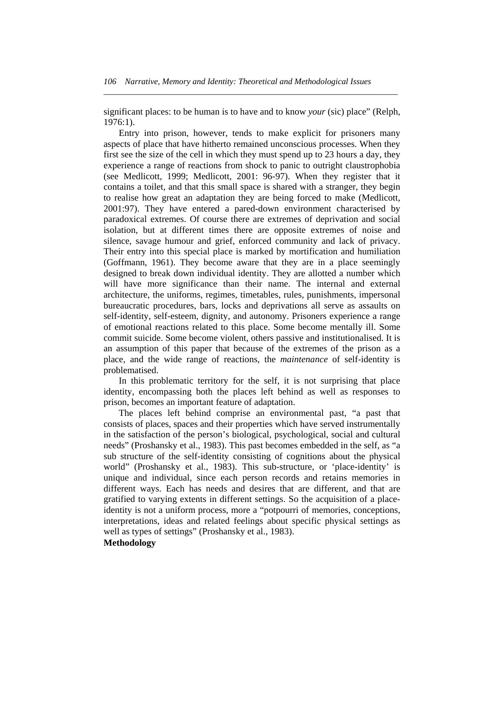significant places: to be human is to have and to know *your* (sic) place" (Relph, 1976:1).

*\_\_\_\_\_\_\_\_\_\_\_\_\_\_\_\_\_\_\_\_\_\_\_\_\_\_\_\_\_\_\_\_\_\_\_\_\_\_\_\_\_\_\_\_\_\_\_\_\_\_\_\_\_\_\_\_\_\_\_\_\_\_\_\_\_\_\_\_\_* 

 Entry into prison, however, tends to make explicit for prisoners many aspects of place that have hitherto remained unconscious processes. When they first see the size of the cell in which they must spend up to 23 hours a day, they experience a range of reactions from shock to panic to outright claustrophobia (see Medlicott, 1999; Medlicott, 2001: 96-97). When they register that it contains a toilet, and that this small space is shared with a stranger, they begin to realise how great an adaptation they are being forced to make (Medlicott, 2001:97). They have entered a pared-down environment characterised by paradoxical extremes. Of course there are extremes of deprivation and social isolation, but at different times there are opposite extremes of noise and silence, savage humour and grief, enforced community and lack of privacy. Their entry into this special place is marked by mortification and humiliation (Goffmann, 1961). They become aware that they are in a place seemingly designed to break down individual identity. They are allotted a number which will have more significance than their name. The internal and external architecture, the uniforms, regimes, timetables, rules, punishments, impersonal bureaucratic procedures, bars, locks and deprivations all serve as assaults on self-identity, self-esteem, dignity, and autonomy. Prisoners experience a range of emotional reactions related to this place. Some become mentally ill. Some commit suicide. Some become violent, others passive and institutionalised. It is an assumption of this paper that because of the extremes of the prison as a place, and the wide range of reactions, the *maintenance* of self-identity is problematised.

 In this problematic territory for the self, it is not surprising that place identity, encompassing both the places left behind as well as responses to prison, becomes an important feature of adaptation.

 The places left behind comprise an environmental past, "a past that consists of places, spaces and their properties which have served instrumentally in the satisfaction of the person's biological, psychological, social and cultural needs" (Proshansky et al., 1983). This past becomes embedded in the self, as "a sub structure of the self-identity consisting of cognitions about the physical world" (Proshansky et al., 1983). This sub-structure, or 'place-identity' is unique and individual, since each person records and retains memories in different ways. Each has needs and desires that are different, and that are gratified to varying extents in different settings. So the acquisition of a placeidentity is not a uniform process, more a "potpourri of memories, conceptions, interpretations, ideas and related feelings about specific physical settings as well as types of settings" (Proshansky et al., 1983). **Methodology**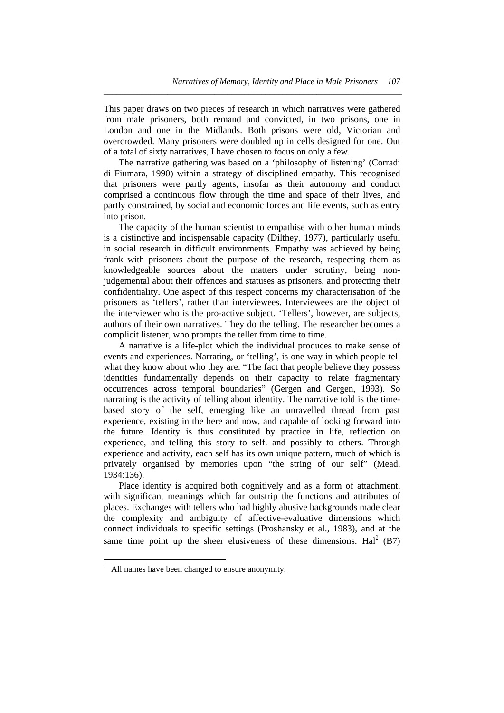This paper draws on two pieces of research in which narratives were gathered from male prisoners, both remand and convicted, in two prisons, one in London and one in the Midlands. Both prisons were old, Victorian and overcrowded. Many prisoners were doubled up in cells designed for one. Out of a total of sixty narratives, I have chosen to focus on only a few.

*\_\_\_\_\_\_\_\_\_\_\_\_\_\_\_\_\_\_\_\_\_\_\_\_\_\_\_\_\_\_\_\_\_\_\_\_\_\_\_\_\_\_\_\_\_\_\_\_\_\_\_\_\_\_\_\_\_\_\_\_\_\_\_\_\_\_\_\_\_\_* 

 The narrative gathering was based on a 'philosophy of listening' (Corradi di Fiumara, 1990) within a strategy of disciplined empathy. This recognised that prisoners were partly agents, insofar as their autonomy and conduct comprised a continuous flow through the time and space of their lives, and partly constrained, by social and economic forces and life events, such as entry into prison.

 The capacity of the human scientist to empathise with other human minds is a distinctive and indispensable capacity (Dilthey, 1977), particularly useful in social research in difficult environments. Empathy was achieved by being frank with prisoners about the purpose of the research, respecting them as knowledgeable sources about the matters under scrutiny, being nonjudgemental about their offences and statuses as prisoners, and protecting their confidentiality. One aspect of this respect concerns my characterisation of the prisoners as 'tellers', rather than interviewees. Interviewees are the object of the interviewer who is the pro-active subject. 'Tellers', however, are subjects, authors of their own narratives. They do the telling. The researcher becomes a complicit listener, who prompts the teller from time to time.

 A narrative is a life-plot which the individual produces to make sense of events and experiences. Narrating, or 'telling', is one way in which people tell what they know about who they are. "The fact that people believe they possess identities fundamentally depends on their capacity to relate fragmentary occurrences across temporal boundaries" (Gergen and Gergen, 1993). So narrating is the activity of telling about identity. The narrative told is the timebased story of the self, emerging like an unravelled thread from past experience, existing in the here and now, and capable of looking forward into the future. Identity is thus constituted by practice in life, reflection on experience, and telling this story to self. and possibly to others. Through experience and activity, each self has its own unique pattern, much of which is privately organised by memories upon "the string of our self" (Mead, 1934:136).

 Place identity is acquired both cognitively and as a form of attachment, with significant meanings which far outstrip the functions and attributes of places. Exchanges with tellers who had highly abusive backgrounds made clear the complexity and ambiguity of affective-evaluative dimensions which connect individuals to specific settings (Proshansky et al., 1983), and at the same time point up the sheer elusiveness of these dimensions.  $\text{Hal}^1$  (B7)

l

<sup>1</sup> All names have been changed to ensure anonymity.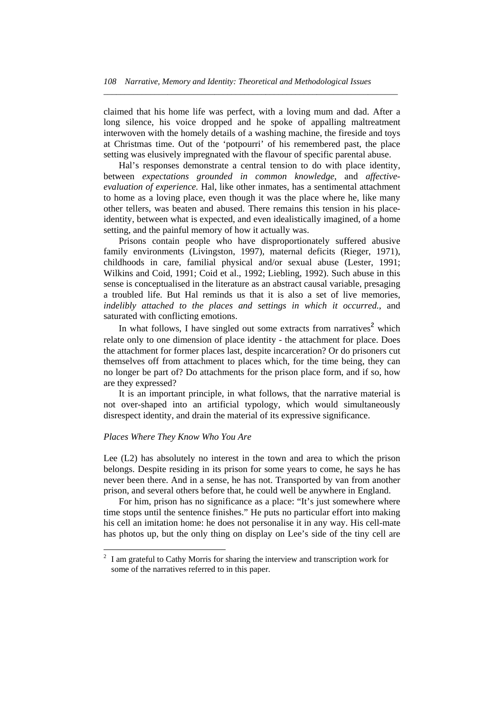claimed that his home life was perfect, with a loving mum and dad. After a long silence, his voice dropped and he spoke of appalling maltreatment interwoven with the homely details of a washing machine, the fireside and toys at Christmas time. Out of the 'potpourri' of his remembered past, the place setting was elusively impregnated with the flavour of specific parental abuse.

*\_\_\_\_\_\_\_\_\_\_\_\_\_\_\_\_\_\_\_\_\_\_\_\_\_\_\_\_\_\_\_\_\_\_\_\_\_\_\_\_\_\_\_\_\_\_\_\_\_\_\_\_\_\_\_\_\_\_\_\_\_\_\_\_\_\_\_\_\_* 

 Hal's responses demonstrate a central tension to do with place identity, between *expectations grounded in common knowledge*, and *affectiveevaluation of experience.* Hal, like other inmates, has a sentimental attachment to home as a loving place, even though it was the place where he, like many other tellers, was beaten and abused. There remains this tension in his placeidentity, between what is expected, and even idealistically imagined, of a home setting, and the painful memory of how it actually was.

 Prisons contain people who have disproportionately suffered abusive family environments (Livingston, 1997), maternal deficits (Rieger, 1971), childhoods in care, familial physical and/or sexual abuse (Lester, 1991; Wilkins and Coid, 1991; Coid et al., 1992; Liebling, 1992). Such abuse in this sense is conceptualised in the literature as an abstract causal variable, presaging a troubled life. But Hal reminds us that it is also a set of live memories, *indelibly attached to the places and settings in which it occurred.*, and saturated with conflicting emotions.

In what follows, I have singled out some extracts from narratives<sup>2</sup> which relate only to one dimension of place identity - the attachment for place. Does the attachment for former places last, despite incarceration? Or do prisoners cut themselves off from attachment to places which, for the time being, they can no longer be part of? Do attachments for the prison place form, and if so, how are they expressed?

 It is an important principle, in what follows, that the narrative material is not over-shaped into an artificial typology, which would simultaneously disrespect identity, and drain the material of its expressive significance.

#### *Places Where They Know Who You Are*

l

Lee (L2) has absolutely no interest in the town and area to which the prison belongs. Despite residing in its prison for some years to come, he says he has never been there. And in a sense, he has not. Transported by van from another prison, and several others before that, he could well be anywhere in England.

 For him, prison has no significance as a place: "It's just somewhere where time stops until the sentence finishes." He puts no particular effort into making his cell an imitation home: he does not personalise it in any way. His cell-mate has photos up, but the only thing on display on Lee's side of the tiny cell are

<sup>2</sup> I am grateful to Cathy Morris for sharing the interview and transcription work for some of the narratives referred to in this paper.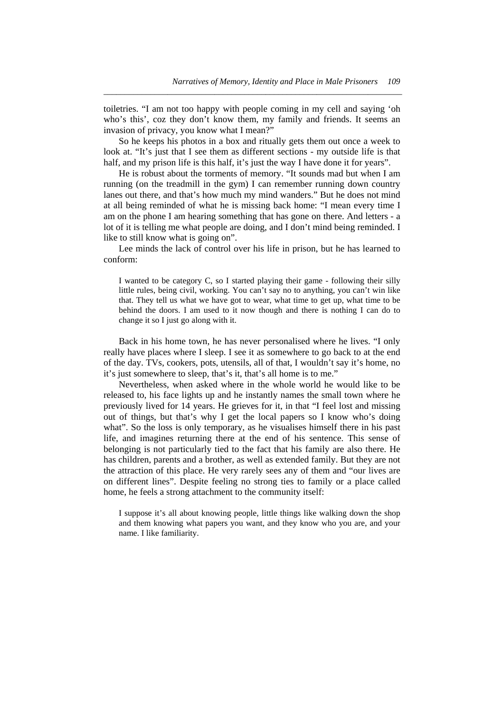toiletries. "I am not too happy with people coming in my cell and saying 'oh who's this', coz they don't know them, my family and friends. It seems an invasion of privacy, you know what I mean?"

*\_\_\_\_\_\_\_\_\_\_\_\_\_\_\_\_\_\_\_\_\_\_\_\_\_\_\_\_\_\_\_\_\_\_\_\_\_\_\_\_\_\_\_\_\_\_\_\_\_\_\_\_\_\_\_\_\_\_\_\_\_\_\_\_\_\_\_\_\_\_* 

 So he keeps his photos in a box and ritually gets them out once a week to look at. "It's just that I see them as different sections - my outside life is that half, and my prison life is this half, it's just the way I have done it for years".

 He is robust about the torments of memory. "It sounds mad but when I am running (on the treadmill in the gym) I can remember running down country lanes out there, and that's how much my mind wanders." But he does not mind at all being reminded of what he is missing back home: "I mean every time I am on the phone I am hearing something that has gone on there. And letters - a lot of it is telling me what people are doing, and I don't mind being reminded. I like to still know what is going on".

 Lee minds the lack of control over his life in prison, but he has learned to conform:

I wanted to be category C, so I started playing their game - following their silly little rules, being civil, working. You can't say no to anything, you can't win like that. They tell us what we have got to wear, what time to get up, what time to be behind the doors. I am used to it now though and there is nothing I can do to change it so I just go along with it.

 Back in his home town, he has never personalised where he lives. "I only really have places where I sleep. I see it as somewhere to go back to at the end of the day. TVs, cookers, pots, utensils, all of that, I wouldn't say it's home, no it's just somewhere to sleep, that's it, that's all home is to me."

 Nevertheless, when asked where in the whole world he would like to be released to, his face lights up and he instantly names the small town where he previously lived for 14 years. He grieves for it, in that "I feel lost and missing out of things, but that's why I get the local papers so I know who's doing what". So the loss is only temporary, as he visualises himself there in his past life, and imagines returning there at the end of his sentence. This sense of belonging is not particularly tied to the fact that his family are also there. He has children, parents and a brother, as well as extended family. But they are not the attraction of this place. He very rarely sees any of them and "our lives are on different lines". Despite feeling no strong ties to family or a place called home, he feels a strong attachment to the community itself:

I suppose it's all about knowing people, little things like walking down the shop and them knowing what papers you want, and they know who you are, and your name. I like familiarity.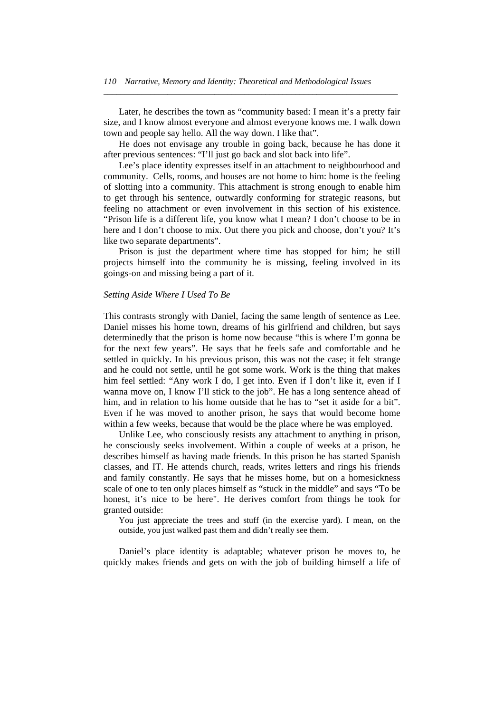Later, he describes the town as "community based: I mean it's a pretty fair size, and I know almost everyone and almost everyone knows me. I walk down town and people say hello. All the way down. I like that".

*\_\_\_\_\_\_\_\_\_\_\_\_\_\_\_\_\_\_\_\_\_\_\_\_\_\_\_\_\_\_\_\_\_\_\_\_\_\_\_\_\_\_\_\_\_\_\_\_\_\_\_\_\_\_\_\_\_\_\_\_\_\_\_\_\_\_\_\_\_* 

 He does not envisage any trouble in going back, because he has done it after previous sentences: "I'll just go back and slot back into life".

 Lee's place identity expresses itself in an attachment to neighbourhood and community. Cells, rooms, and houses are not home to him: home is the feeling of slotting into a community. This attachment is strong enough to enable him to get through his sentence, outwardly conforming for strategic reasons, but feeling no attachment or even involvement in this section of his existence. "Prison life is a different life, you know what I mean? I don't choose to be in here and I don't choose to mix. Out there you pick and choose, don't you? It's like two separate departments".

 Prison is just the department where time has stopped for him; he still projects himself into the community he is missing, feeling involved in its goings-on and missing being a part of it.

#### *Setting Aside Where I Used To Be*

This contrasts strongly with Daniel, facing the same length of sentence as Lee. Daniel misses his home town, dreams of his girlfriend and children, but says determinedly that the prison is home now because "this is where I'm gonna be for the next few years". He says that he feels safe and comfortable and he settled in quickly. In his previous prison, this was not the case; it felt strange and he could not settle, until he got some work. Work is the thing that makes him feel settled: "Any work I do, I get into. Even if I don't like it, even if I wanna move on, I know I'll stick to the job". He has a long sentence ahead of him, and in relation to his home outside that he has to "set it aside for a bit". Even if he was moved to another prison, he says that would become home within a few weeks, because that would be the place where he was employed.

 Unlike Lee, who consciously resists any attachment to anything in prison, he consciously seeks involvement. Within a couple of weeks at a prison, he describes himself as having made friends. In this prison he has started Spanish classes, and IT. He attends church, reads, writes letters and rings his friends and family constantly. He says that he misses home, but on a homesickness scale of one to ten only places himself as "stuck in the middle" and says "To be honest, it's nice to be here". He derives comfort from things he took for granted outside:

You just appreciate the trees and stuff (in the exercise yard). I mean, on the outside, you just walked past them and didn't really see them.

 Daniel's place identity is adaptable; whatever prison he moves to, he quickly makes friends and gets on with the job of building himself a life of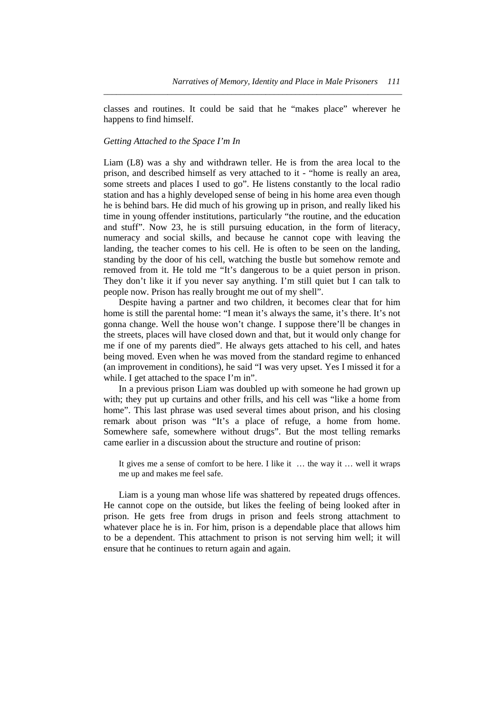classes and routines. It could be said that he "makes place" wherever he happens to find himself.

*\_\_\_\_\_\_\_\_\_\_\_\_\_\_\_\_\_\_\_\_\_\_\_\_\_\_\_\_\_\_\_\_\_\_\_\_\_\_\_\_\_\_\_\_\_\_\_\_\_\_\_\_\_\_\_\_\_\_\_\_\_\_\_\_\_\_\_\_\_\_* 

#### *Getting Attached to the Space I'm In*

Liam (L8) was a shy and withdrawn teller. He is from the area local to the prison, and described himself as very attached to it - "home is really an area, some streets and places I used to go". He listens constantly to the local radio station and has a highly developed sense of being in his home area even though he is behind bars. He did much of his growing up in prison, and really liked his time in young offender institutions, particularly "the routine, and the education and stuff". Now 23, he is still pursuing education, in the form of literacy, numeracy and social skills, and because he cannot cope with leaving the landing, the teacher comes to his cell. He is often to be seen on the landing, standing by the door of his cell, watching the bustle but somehow remote and removed from it. He told me "It's dangerous to be a quiet person in prison. They don't like it if you never say anything. I'm still quiet but I can talk to people now. Prison has really brought me out of my shell".

 Despite having a partner and two children, it becomes clear that for him home is still the parental home: "I mean it's always the same, it's there. It's not gonna change. Well the house won't change. I suppose there'll be changes in the streets, places will have closed down and that, but it would only change for me if one of my parents died". He always gets attached to his cell, and hates being moved. Even when he was moved from the standard regime to enhanced (an improvement in conditions), he said "I was very upset. Yes I missed it for a while. I get attached to the space I'm in".

 In a previous prison Liam was doubled up with someone he had grown up with; they put up curtains and other frills, and his cell was "like a home from home". This last phrase was used several times about prison, and his closing remark about prison was "It's a place of refuge, a home from home. Somewhere safe, somewhere without drugs". But the most telling remarks came earlier in a discussion about the structure and routine of prison:

It gives me a sense of comfort to be here. I like it … the way it … well it wraps me up and makes me feel safe.

 Liam is a young man whose life was shattered by repeated drugs offences. He cannot cope on the outside, but likes the feeling of being looked after in prison. He gets free from drugs in prison and feels strong attachment to whatever place he is in. For him, prison is a dependable place that allows him to be a dependent. This attachment to prison is not serving him well; it will ensure that he continues to return again and again.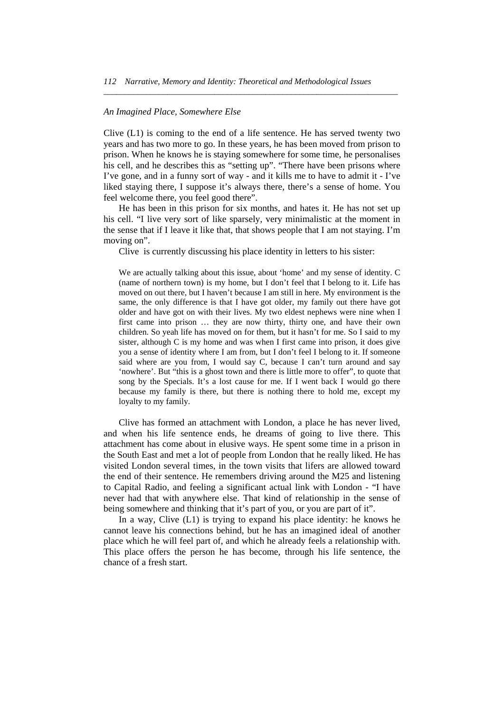#### *An Imagined Place, Somewhere Else*

Clive (L1) is coming to the end of a life sentence. He has served twenty two years and has two more to go. In these years, he has been moved from prison to prison. When he knows he is staying somewhere for some time, he personalises his cell, and he describes this as "setting up". "There have been prisons where I've gone, and in a funny sort of way - and it kills me to have to admit it - I've liked staying there, I suppose it's always there, there's a sense of home. You feel welcome there, you feel good there".

*\_\_\_\_\_\_\_\_\_\_\_\_\_\_\_\_\_\_\_\_\_\_\_\_\_\_\_\_\_\_\_\_\_\_\_\_\_\_\_\_\_\_\_\_\_\_\_\_\_\_\_\_\_\_\_\_\_\_\_\_\_\_\_\_\_\_\_\_\_* 

 He has been in this prison for six months, and hates it. He has not set up his cell. "I live very sort of like sparsely, very minimalistic at the moment in the sense that if I leave it like that, that shows people that I am not staying. I'm moving on".

Clive is currently discussing his place identity in letters to his sister:

We are actually talking about this issue, about 'home' and my sense of identity. C (name of northern town) is my home, but I don't feel that I belong to it. Life has moved on out there, but I haven't because I am still in here. My environment is the same, the only difference is that I have got older, my family out there have got older and have got on with their lives. My two eldest nephews were nine when I first came into prison … they are now thirty, thirty one, and have their own children. So yeah life has moved on for them, but it hasn't for me. So I said to my sister, although C is my home and was when I first came into prison, it does give you a sense of identity where I am from, but I don't feel I belong to it. If someone said where are you from, I would say C, because I can't turn around and say 'nowhere'. But "this is a ghost town and there is little more to offer", to quote that song by the Specials. It's a lost cause for me. If I went back I would go there because my family is there, but there is nothing there to hold me, except my loyalty to my family.

 Clive has formed an attachment with London, a place he has never lived, and when his life sentence ends, he dreams of going to live there. This attachment has come about in elusive ways. He spent some time in a prison in the South East and met a lot of people from London that he really liked. He has visited London several times, in the town visits that lifers are allowed toward the end of their sentence. He remembers driving around the M25 and listening to Capital Radio, and feeling a significant actual link with London - "I have never had that with anywhere else. That kind of relationship in the sense of being somewhere and thinking that it's part of you, or you are part of it".

In a way, Clive  $(L1)$  is trying to expand his place identity: he knows he cannot leave his connections behind, but he has an imagined ideal of another place which he will feel part of, and which he already feels a relationship with. This place offers the person he has become, through his life sentence, the chance of a fresh start.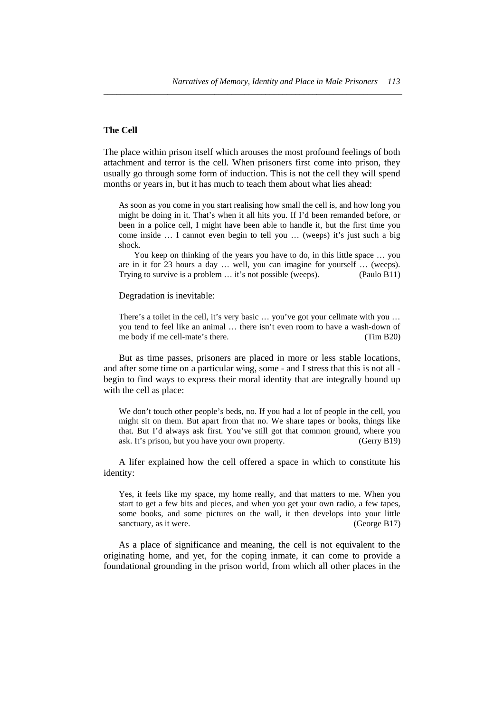### **The Cell**

The place within prison itself which arouses the most profound feelings of both attachment and terror is the cell. When prisoners first come into prison, they usually go through some form of induction. This is not the cell they will spend months or years in, but it has much to teach them about what lies ahead:

*\_\_\_\_\_\_\_\_\_\_\_\_\_\_\_\_\_\_\_\_\_\_\_\_\_\_\_\_\_\_\_\_\_\_\_\_\_\_\_\_\_\_\_\_\_\_\_\_\_\_\_\_\_\_\_\_\_\_\_\_\_\_\_\_\_\_\_\_\_\_* 

As soon as you come in you start realising how small the cell is, and how long you might be doing in it. That's when it all hits you. If I'd been remanded before, or been in a police cell, I might have been able to handle it, but the first time you come inside … I cannot even begin to tell you … (weeps) it's just such a big shock.

 You keep on thinking of the years you have to do, in this little space … you are in it for 23 hours a day … well, you can imagine for yourself … (weeps). Trying to survive is a problem … it's not possible (weeps). (Paulo B11)

#### Degradation is inevitable:

There's a toilet in the cell, it's very basic … you've got your cellmate with you … you tend to feel like an animal … there isn't even room to have a wash-down of me body if me cell-mate's there. (Tim B20)

 But as time passes, prisoners are placed in more or less stable locations, and after some time on a particular wing, some - and I stress that this is not all begin to find ways to express their moral identity that are integrally bound up with the cell as place:

We don't touch other people's beds, no. If you had a lot of people in the cell, you might sit on them. But apart from that no. We share tapes or books, things like that. But I'd always ask first. You've still got that common ground, where you ask. It's prison, but you have your own property. (Gerry B19)

 A lifer explained how the cell offered a space in which to constitute his identity:

Yes, it feels like my space, my home really, and that matters to me. When you start to get a few bits and pieces, and when you get your own radio, a few tapes, some books, and some pictures on the wall, it then develops into your little sanctuary, as it were. (George B17)

 As a place of significance and meaning, the cell is not equivalent to the originating home, and yet, for the coping inmate, it can come to provide a foundational grounding in the prison world, from which all other places in the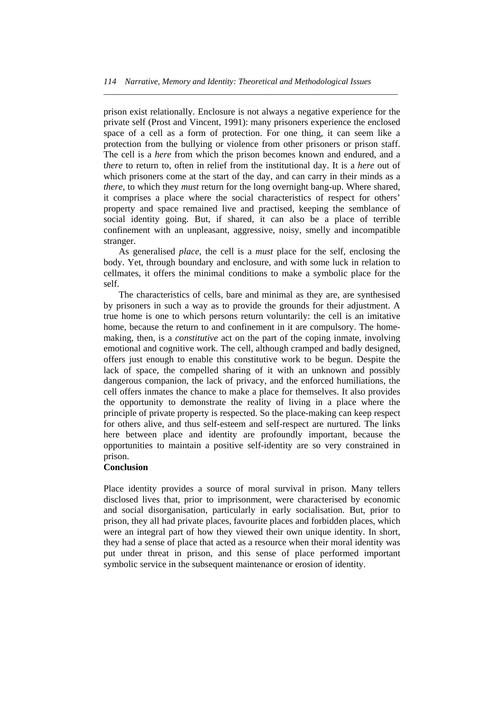*\_\_\_\_\_\_\_\_\_\_\_\_\_\_\_\_\_\_\_\_\_\_\_\_\_\_\_\_\_\_\_\_\_\_\_\_\_\_\_\_\_\_\_\_\_\_\_\_\_\_\_\_\_\_\_\_\_\_\_\_\_\_\_\_\_\_\_\_\_* 

prison exist relationally. Enclosure is not always a negative experience for the private self (Prost and Vincent, 1991): many prisoners experience the enclosed space of a cell as a form of protection. For one thing, it can seem like a protection from the bullying or violence from other prisoners or prison staff. The cell is a *here* from which the prison becomes known and endured, and a t*here* to return to, often in relief from the institutional day. It is a *here* out of which prisoners come at the start of the day, and can carry in their minds as a *there,* to which they *must* return for the long overnight bang-up. Where shared, it comprises a place where the social characteristics of respect for others' property and space remained live and practised, keeping the semblance of social identity going. But, if shared, it can also be a place of terrible confinement with an unpleasant, aggressive, noisy, smelly and incompatible stranger.

 As generalised *place*, the cell is a *must* place for the self, enclosing the body. Yet, through boundary and enclosure, and with some luck in relation to cellmates, it offers the minimal conditions to make a symbolic place for the self.

 The characteristics of cells, bare and minimal as they are, are synthesised by prisoners in such a way as to provide the grounds for their adjustment. A true home is one to which persons return voluntarily: the cell is an imitative home, because the return to and confinement in it are compulsory. The homemaking, then, is a *constitutive* act on the part of the coping inmate, involving emotional and cognitive work. The cell, although cramped and badly designed, offers just enough to enable this constitutive work to be begun. Despite the lack of space, the compelled sharing of it with an unknown and possibly dangerous companion, the lack of privacy, and the enforced humiliations, the cell offers inmates the chance to make a place for themselves. It also provides the opportunity to demonstrate the reality of living in a place where the principle of private property is respected. So the place-making can keep respect for others alive, and thus self-esteem and self-respect are nurtured. The links here between place and identity are profoundly important, because the opportunities to maintain a positive self-identity are so very constrained in prison.

## **Conclusion**

Place identity provides a source of moral survival in prison. Many tellers disclosed lives that, prior to imprisonment, were characterised by economic and social disorganisation, particularly in early socialisation. But, prior to prison, they all had private places, favourite places and forbidden places, which were an integral part of how they viewed their own unique identity. In short, they had a sense of place that acted as a resource when their moral identity was put under threat in prison, and this sense of place performed important symbolic service in the subsequent maintenance or erosion of identity.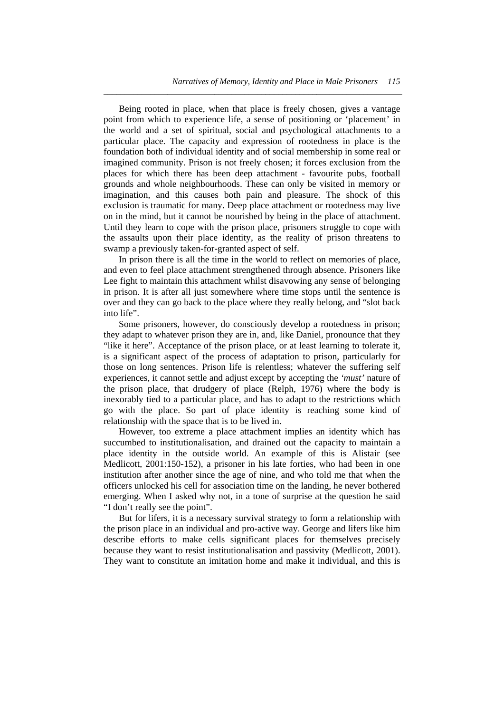Being rooted in place, when that place is freely chosen, gives a vantage point from which to experience life, a sense of positioning or 'placement' in the world and a set of spiritual, social and psychological attachments to a particular place. The capacity and expression of rootedness in place is the foundation both of individual identity and of social membership in some real or imagined community. Prison is not freely chosen; it forces exclusion from the places for which there has been deep attachment - favourite pubs, football grounds and whole neighbourhoods. These can only be visited in memory or imagination, and this causes both pain and pleasure. The shock of this exclusion is traumatic for many. Deep place attachment or rootedness may live on in the mind, but it cannot be nourished by being in the place of attachment. Until they learn to cope with the prison place, prisoners struggle to cope with the assaults upon their place identity, as the reality of prison threatens to swamp a previously taken-for-granted aspect of self.

*\_\_\_\_\_\_\_\_\_\_\_\_\_\_\_\_\_\_\_\_\_\_\_\_\_\_\_\_\_\_\_\_\_\_\_\_\_\_\_\_\_\_\_\_\_\_\_\_\_\_\_\_\_\_\_\_\_\_\_\_\_\_\_\_\_\_\_\_\_\_* 

 In prison there is all the time in the world to reflect on memories of place, and even to feel place attachment strengthened through absence. Prisoners like Lee fight to maintain this attachment whilst disavowing any sense of belonging in prison. It is after all just somewhere where time stops until the sentence is over and they can go back to the place where they really belong, and "slot back into life".

 Some prisoners, however, do consciously develop a rootedness in prison; they adapt to whatever prison they are in, and, like Daniel, pronounce that they "like it here". Acceptance of the prison place, or at least learning to tolerate it, is a significant aspect of the process of adaptation to prison, particularly for those on long sentences. Prison life is relentless; whatever the suffering self experiences, it cannot settle and adjust except by accepting the *'must'* nature of the prison place, that drudgery of place (Relph, 1976) where the body is inexorably tied to a particular place, and has to adapt to the restrictions which go with the place. So part of place identity is reaching some kind of relationship with the space that is to be lived in.

 However, too extreme a place attachment implies an identity which has succumbed to institutionalisation, and drained out the capacity to maintain a place identity in the outside world. An example of this is Alistair (see Medlicott, 2001:150-152), a prisoner in his late forties, who had been in one institution after another since the age of nine, and who told me that when the officers unlocked his cell for association time on the landing, he never bothered emerging. When I asked why not, in a tone of surprise at the question he said "I don't really see the point".

 But for lifers, it is a necessary survival strategy to form a relationship with the prison place in an individual and pro-active way. George and lifers like him describe efforts to make cells significant places for themselves precisely because they want to resist institutionalisation and passivity (Medlicott, 2001). They want to constitute an imitation home and make it individual, and this is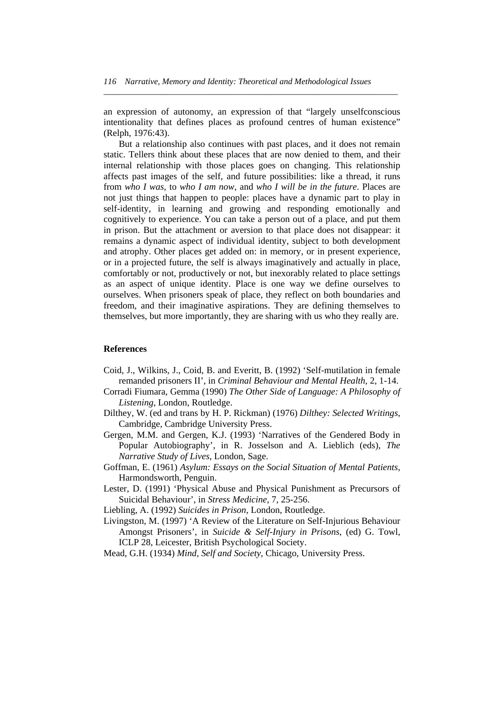an expression of autonomy, an expression of that "largely unselfconscious intentionality that defines places as profound centres of human existence" (Relph, 1976:43).

*\_\_\_\_\_\_\_\_\_\_\_\_\_\_\_\_\_\_\_\_\_\_\_\_\_\_\_\_\_\_\_\_\_\_\_\_\_\_\_\_\_\_\_\_\_\_\_\_\_\_\_\_\_\_\_\_\_\_\_\_\_\_\_\_\_\_\_\_\_* 

 But a relationship also continues with past places, and it does not remain static. Tellers think about these places that are now denied to them, and their internal relationship with those places goes on changing. This relationship affects past images of the self, and future possibilities: like a thread, it runs from *who I was,* to *who I am now*, and *who I will be in the future*. Places are not just things that happen to people: places have a dynamic part to play in self-identity, in learning and growing and responding emotionally and cognitively to experience. You can take a person out of a place, and put them in prison. But the attachment or aversion to that place does not disappear: it remains a dynamic aspect of individual identity, subject to both development and atrophy. Other places get added on: in memory, or in present experience, or in a projected future, the self is always imaginatively and actually in place, comfortably or not, productively or not, but inexorably related to place settings as an aspect of unique identity. Place is one way we define ourselves to ourselves. When prisoners speak of place, they reflect on both boundaries and freedom, and their imaginative aspirations. They are defining themselves to themselves, but more importantly, they are sharing with us who they really are.

#### **References**

- Coid, J., Wilkins, J., Coid, B. and Everitt, B. (1992) 'Self-mutilation in female remanded prisoners II', in *Criminal Behaviour and Mental Health*, 2, 1-14.
- Corradi Fiumara, Gemma (1990) *The Other Side of Language: A Philosophy of Listening*, London, Routledge.
- Dilthey, W. (ed and trans by H. P. Rickman) (1976) *Dilthey: Selected Writings*, Cambridge, Cambridge University Press.
- Gergen, M.M. and Gergen, K.J. (1993) 'Narratives of the Gendered Body in Popular Autobiography', in R. Josselson and A. Lieblich (eds), *The Narrative Study of Lives*, London, Sage.
- Goffman, E. (1961) *Asylum: Essays on the Social Situation of Mental Patients*, Harmondsworth, Penguin.
- Lester, D. (1991) 'Physical Abuse and Physical Punishment as Precursors of Suicidal Behaviour', in *Stress Medicine*, 7, 25-256.
- Liebling, A. (1992) *Suicides in Prison*, London, Routledge.
- Livingston, M. (1997) 'A Review of the Literature on Self-Injurious Behaviour Amongst Prisoners', in *Suicide & Self-Injury in Prisons*, (ed) G. Towl, ICLP 28, Leicester, British Psychological Society.
- Mead, G.H. (1934) *Mind, Self and Society*, Chicago, University Press.